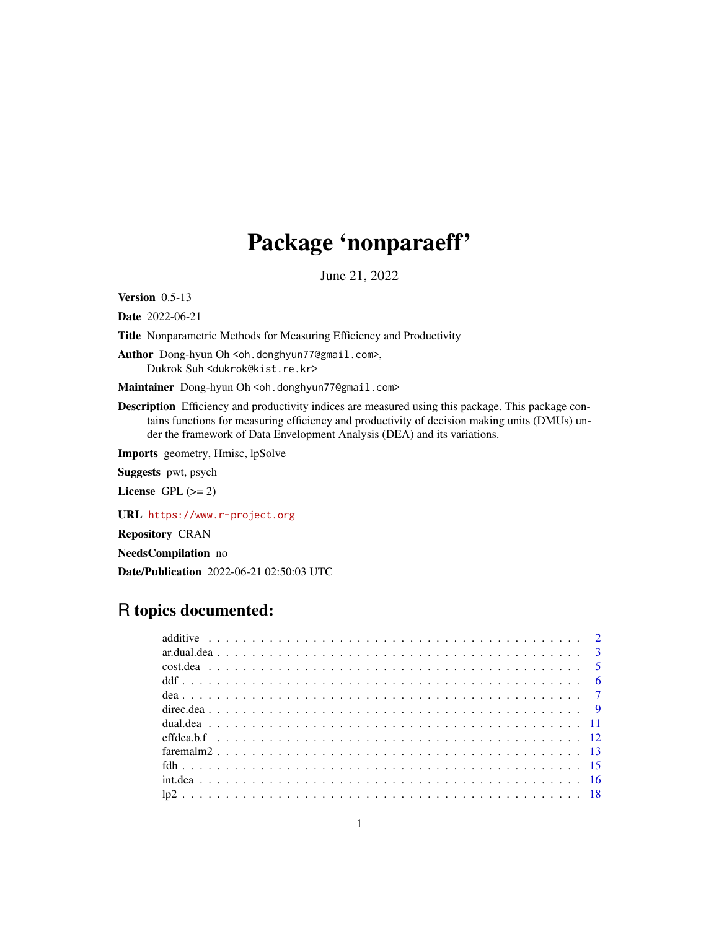# Package 'nonparaeff'

June 21, 2022

<span id="page-0-0"></span>Version 0.5-13

Date 2022-06-21

Title Nonparametric Methods for Measuring Efficiency and Productivity

Author Dong-hyun Oh <oh.donghyun77@gmail.com>, Dukrok Suh <dukrok@kist.re.kr>

Maintainer Dong-hyun Oh <oh.donghyun77@gmail.com>

Description Efficiency and productivity indices are measured using this package. This package contains functions for measuring efficiency and productivity of decision making units (DMUs) under the framework of Data Envelopment Analysis (DEA) and its variations.

Imports geometry, Hmisc, lpSolve

Suggests pwt, psych

License GPL  $(>= 2)$ 

URL <https://www.r-project.org>

Repository CRAN

NeedsCompilation no

Date/Publication 2022-06-21 02:50:03 UTC

# R topics documented:

| $lp2 18$ |  |  |  |  |  |  |  |  |  |  |  |  |  |  |  |  |  |  |  |  |  |  |
|----------|--|--|--|--|--|--|--|--|--|--|--|--|--|--|--|--|--|--|--|--|--|--|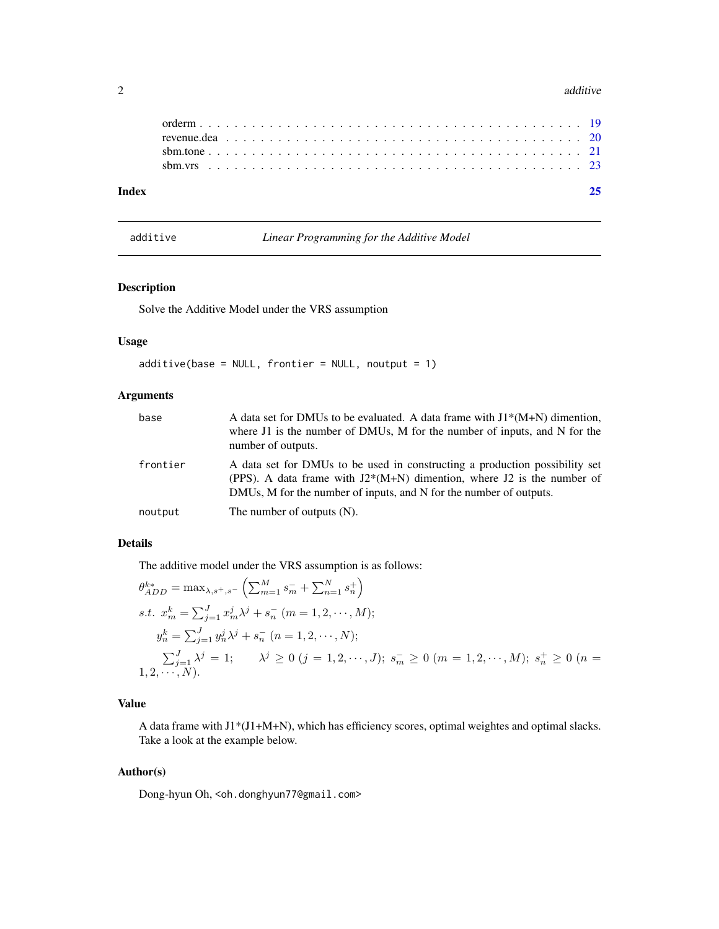#### <span id="page-1-0"></span> $2 \cos \theta$  additive and  $\theta$  and  $\theta$  and  $\theta$  and  $\theta$  and  $\theta$  and  $\theta$  and  $\theta$  and  $\theta$  and  $\theta$  and  $\theta$  and  $\theta$  and  $\theta$  and  $\theta$  and  $\theta$  and  $\theta$  and  $\theta$  and  $\theta$  and  $\theta$  and  $\theta$  and  $\theta$  and  $\theta$  and  $\theta$  and  $\$

additive *Linear Programming for the Additive Model*

# Description

Solve the Additive Model under the VRS assumption

# Usage

 $additive(base = NULL, frontier = NULL, noutput = 1)$ 

# Arguments

| base     | A data set for DMUs to be evaluated. A data frame with $J1*(M+N)$ dimention,<br>where J1 is the number of DMUs, M for the number of inputs, and N for the<br>number of outputs.                                               |
|----------|-------------------------------------------------------------------------------------------------------------------------------------------------------------------------------------------------------------------------------|
| frontier | A data set for DMUs to be used in constructing a production possibility set<br>(PPS). A data frame with $J2*(M+N)$ dimention, where J2 is the number of<br>DMUs, M for the number of inputs, and N for the number of outputs. |
| noutput  | The number of outputs (N).                                                                                                                                                                                                    |

# Details

The additive model under the VRS assumption is as follows:

$$
\theta_{ADD}^{k*} = \max_{\lambda, s^+, s^-} \left( \sum_{m=1}^{M} s_m^- + \sum_{n=1}^{N} s_n^+ \right)
$$
  
s.t.  $x_m^k = \sum_{j=1}^{J} x_m^j \lambda^j + s_n^-(m = 1, 2, \dots, M);$   
 $y_n^k = \sum_{j=1}^{J} y_n^j \lambda^j + s_n^-(n = 1, 2, \dots, N);$   
 $\sum_{j=1}^{J} \lambda^j = 1; \qquad \lambda^j \ge 0 \ (j = 1, 2, \dots, J); s_m^- \ge 0 \ (m = 1, 2, \dots, M); s_n^+ \ge 0 \ (n = 1, 2, \dots, N).$ 

# Value

A data frame with J1\*(J1+M+N), which has efficiency scores, optimal weightes and optimal slacks. Take a look at the example below.

# Author(s)

Dong-hyun Oh, <oh.donghyun77@gmail.com>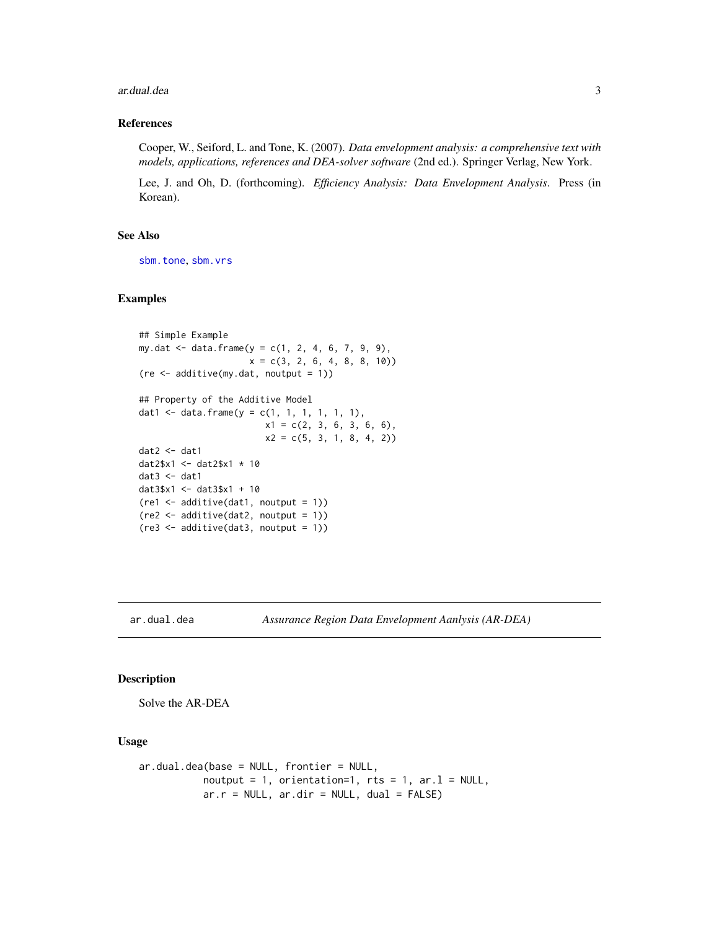#### <span id="page-2-0"></span>ar.dual.dea 3

#### References

Cooper, W., Seiford, L. and Tone, K. (2007). *Data envelopment analysis: a comprehensive text with models, applications, references and DEA-solver software* (2nd ed.). Springer Verlag, New York.

Lee, J. and Oh, D. (forthcoming). *Efficiency Analysis: Data Envelopment Analysis*. Press (in Korean).

#### See Also

[sbm.tone](#page-20-1), [sbm.vrs](#page-22-1)

#### Examples

```
## Simple Example
my.dat <- data.frame(y = c(1, 2, 4, 6, 7, 9, 9),
                     x = c(3, 2, 6, 4, 8, 8, 10)(re <- additive(my.dat, noutput = 1))
## Property of the Additive Model
dat1 <- data.frame(y = c(1, 1, 1, 1, 1, 1),
                       x1 = c(2, 3, 6, 3, 6, 6),
                        x2 = c(5, 3, 1, 8, 4, 2)data < - dat1
dat2$x1 <- dat2$x1 * 10
data < - dat1
dat3$x1 <- dat3$x1 + 10
(re1 <- additive(dat1, noutput = 1))
(re2 <- additive(dat2, noutput = 1))
(re3 <- additive(dat3, noutput = 1))
```
ar.dual.dea *Assurance Region Data Envelopment Aanlysis (AR-DEA)*

# Description

Solve the AR-DEA

```
ar.dual.dea(base = NULL, frontier = NULL,
           noutput = 1, orientation=1, rts = 1, ar.l = NULL,
           ar.r = NULL, ar.dir = NULL, dual = FALSE)
```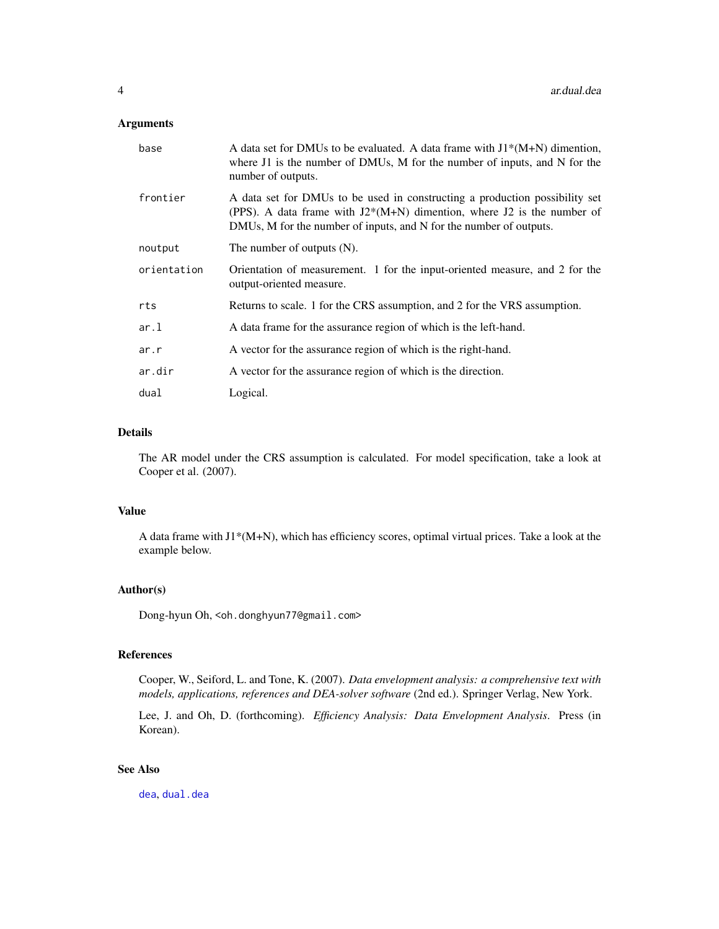<span id="page-3-0"></span>

| base        | A data set for DMUs to be evaluated. A data frame with $J1*(M+N)$ dimention,<br>where J1 is the number of DMUs, M for the number of inputs, and N for the<br>number of outputs.                                               |
|-------------|-------------------------------------------------------------------------------------------------------------------------------------------------------------------------------------------------------------------------------|
| frontier    | A data set for DMUs to be used in constructing a production possibility set<br>(PPS). A data frame with $J2*(M+N)$ dimention, where J2 is the number of<br>DMUs, M for the number of inputs, and N for the number of outputs. |
| noutput     | The number of outputs (N).                                                                                                                                                                                                    |
| orientation | Orientation of measurement. 1 for the input-oriented measure, and 2 for the<br>output-oriented measure.                                                                                                                       |
| rts         | Returns to scale. 1 for the CRS assumption, and 2 for the VRS assumption.                                                                                                                                                     |
| ar.l        | A data frame for the assurance region of which is the left-hand.                                                                                                                                                              |
| ar.r        | A vector for the assurance region of which is the right-hand.                                                                                                                                                                 |
| ar.dir      | A vector for the assurance region of which is the direction.                                                                                                                                                                  |
| dual        | Logical.                                                                                                                                                                                                                      |

# Details

The AR model under the CRS assumption is calculated. For model specification, take a look at Cooper et al. (2007).

### Value

A data frame with J1\*(M+N), which has efficiency scores, optimal virtual prices. Take a look at the example below.

# Author(s)

Dong-hyun Oh, <oh.donghyun77@gmail.com>

# References

Cooper, W., Seiford, L. and Tone, K. (2007). *Data envelopment analysis: a comprehensive text with models, applications, references and DEA-solver software* (2nd ed.). Springer Verlag, New York.

Lee, J. and Oh, D. (forthcoming). *Efficiency Analysis: Data Envelopment Analysis*. Press (in Korean).

# See Also

[dea](#page-6-1), [dual.dea](#page-10-1)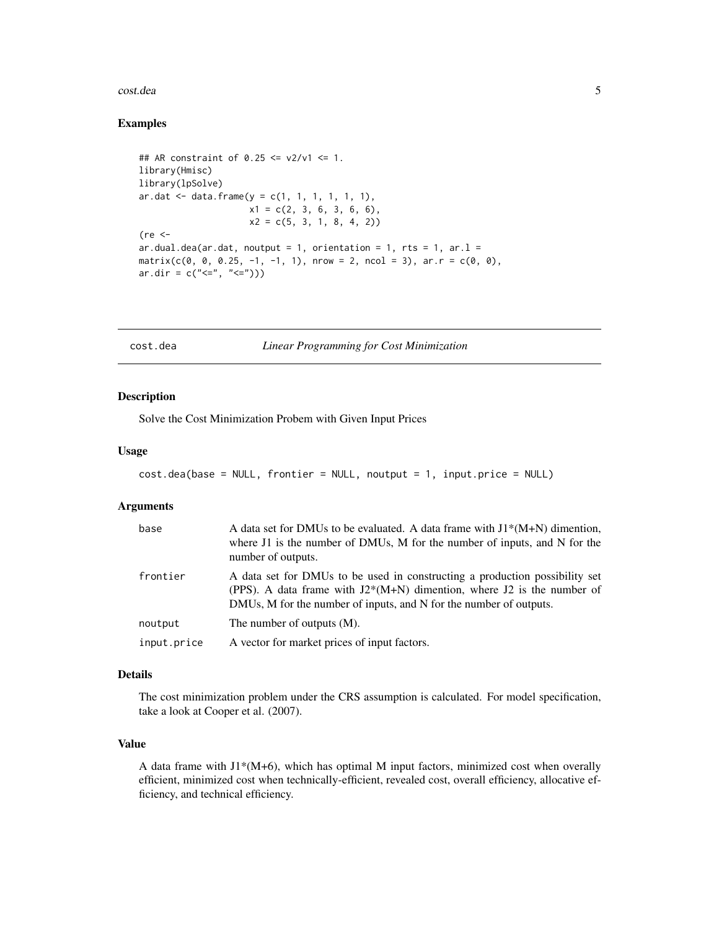#### <span id="page-4-0"></span>cost.dea 5

#### Examples

```
## AR constraint of 0.25 <= v2/v1 <= 1.
library(Hmisc)
library(lpSolve)
ar.dat < - data frame(y = c(1, 1, 1, 1, 1, 1),x1 = c(2, 3, 6, 3, 6, 6),
                    x2 = c(5, 3, 1, 8, 4, 2)(re <ar.dual.dea(ar.dat, noutput = 1, orientation = 1, rts = 1, ar.l =
matrix(c(0, 0, 0.25, -1, -1, 1), nrow = 2, ncol = 3), ar.r = c(0, 0),
ar.dir = c("<=", "<="))
```
<span id="page-4-1"></span>

cost.dea *Linear Programming for Cost Minimization*

#### Description

Solve the Cost Minimization Probem with Given Input Prices

# Usage

```
cost.dea(base = NULL, frontier = NULL, noutput = 1, input.price = NULL)
```
#### Arguments

| base        | A data set for DMUs to be evaluated. A data frame with $J1*(M+N)$ dimention,<br>where $J1$ is the number of DMUs, M for the number of inputs, and N for the<br>number of outputs.                                             |
|-------------|-------------------------------------------------------------------------------------------------------------------------------------------------------------------------------------------------------------------------------|
| frontier    | A data set for DMUs to be used in constructing a production possibility set<br>(PPS). A data frame with $J2*(M+N)$ dimention, where J2 is the number of<br>DMUs, M for the number of inputs, and N for the number of outputs. |
| noutput     | The number of outputs (M).                                                                                                                                                                                                    |
| input.price | A vector for market prices of input factors.                                                                                                                                                                                  |

#### Details

The cost minimization problem under the CRS assumption is calculated. For model specification, take a look at Cooper et al. (2007).

### Value

A data frame with  $J1*(M+6)$ , which has optimal M input factors, minimized cost when overally efficient, minimized cost when technically-efficient, revealed cost, overall efficiency, allocative efficiency, and technical efficiency.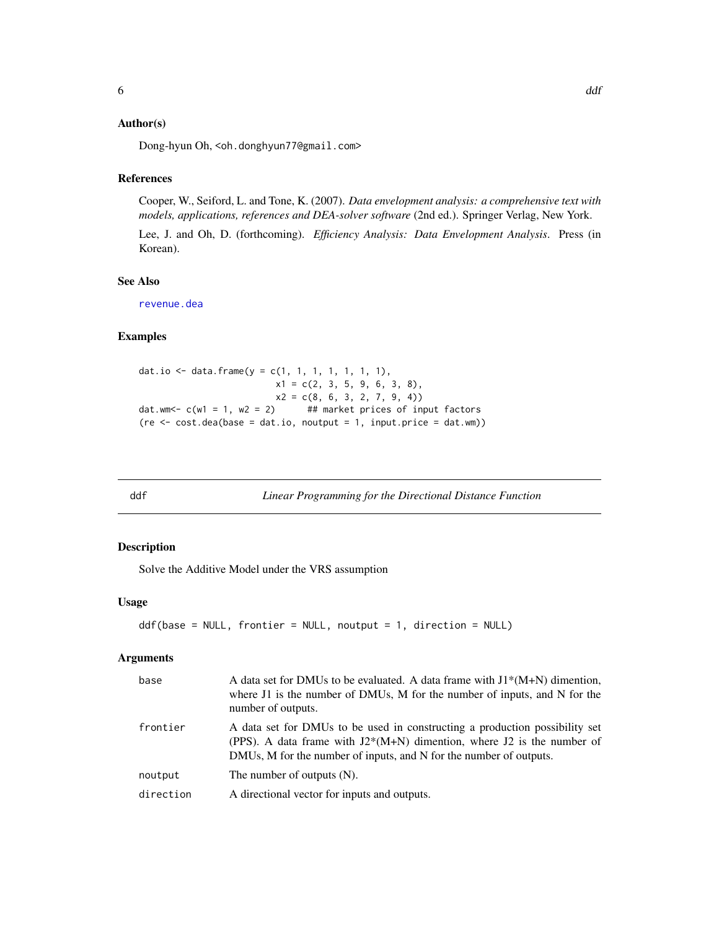# <span id="page-5-0"></span>Author(s)

Dong-hyun Oh, <oh.donghyun77@gmail.com>

#### References

Cooper, W., Seiford, L. and Tone, K. (2007). *Data envelopment analysis: a comprehensive text with models, applications, references and DEA-solver software* (2nd ed.). Springer Verlag, New York.

Lee, J. and Oh, D. (forthcoming). *Efficiency Analysis: Data Envelopment Analysis*. Press (in Korean).

#### See Also

[revenue.dea](#page-19-1)

# Examples

```
dat.io <- data.frame(y = c(1, 1, 1, 1, 1, 1, 1),
                         x1 = c(2, 3, 5, 9, 6, 3, 8),x2 = c(8, 6, 3, 2, 7, 9, 4)dat.wm<- c(w1 = 1, w2 = 2) ## market prices of input factors
(re \leq cost.dea(base = dat.io, noutput = 1, input-price = dat.wm))
```
<span id="page-5-1"></span>ddf *Linear Programming for the Directional Distance Function*

#### Description

Solve the Additive Model under the VRS assumption

# Usage

```
ddf(base = NULL, frontier = NULL, noutput = 1, direction = NULL)
```
# Arguments

| base      | A data set for DMUs to be evaluated. A data frame with $J1*(M+N)$ dimention,<br>where J1 is the number of DMUs, M for the number of inputs, and N for the<br>number of outputs.                                               |
|-----------|-------------------------------------------------------------------------------------------------------------------------------------------------------------------------------------------------------------------------------|
| frontier  | A data set for DMUs to be used in constructing a production possibility set<br>(PPS). A data frame with $J2*(M+N)$ dimention, where J2 is the number of<br>DMUs, M for the number of inputs, and N for the number of outputs. |
| noutput   | The number of outputs (N).                                                                                                                                                                                                    |
| direction | A directional vector for inputs and outputs.                                                                                                                                                                                  |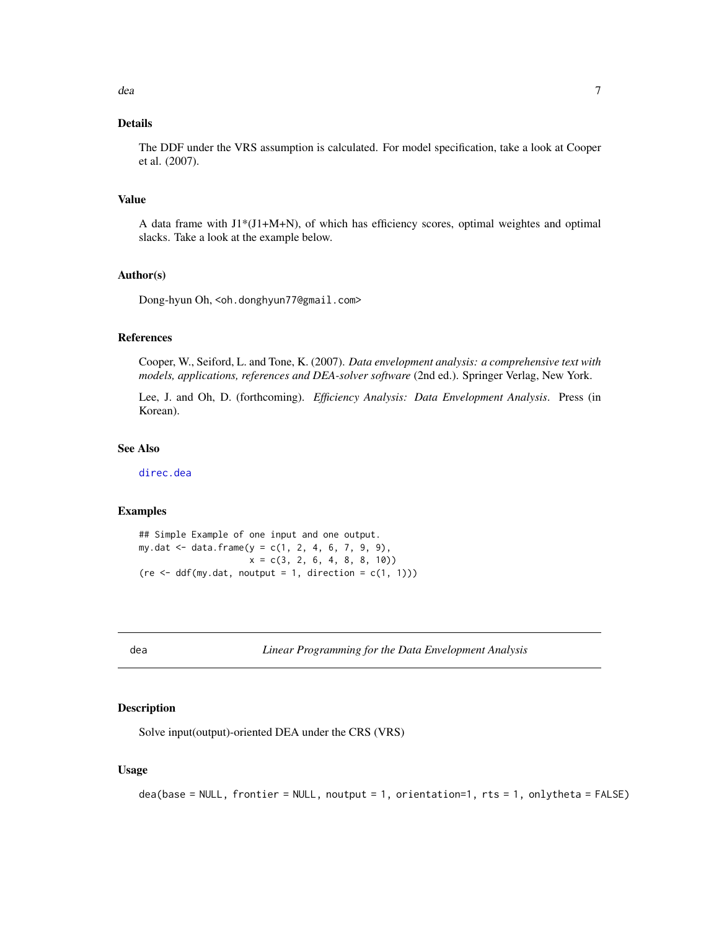# <span id="page-6-0"></span>Details

The DDF under the VRS assumption is calculated. For model specification, take a look at Cooper et al. (2007).

#### Value

A data frame with  $J1*(J1+M+N)$ , of which has efficiency scores, optimal weightes and optimal slacks. Take a look at the example below.

#### Author(s)

Dong-hyun Oh, <oh.donghyun77@gmail.com>

#### References

Cooper, W., Seiford, L. and Tone, K. (2007). *Data envelopment analysis: a comprehensive text with models, applications, references and DEA-solver software* (2nd ed.). Springer Verlag, New York.

Lee, J. and Oh, D. (forthcoming). *Efficiency Analysis: Data Envelopment Analysis*. Press (in Korean).

#### See Also

[direc.dea](#page-8-1)

#### Examples

## Simple Example of one input and one output. my.dat <- data.frame( $y = c(1, 2, 4, 6, 7, 9, 9)$ ,  $x = c(3, 2, 6, 4, 8, 8, 10)$ (re  $\leq$  ddf(my.dat, noutput = 1, direction = c(1, 1)))

<span id="page-6-1"></span>dea *Linear Programming for the Data Envelopment Analysis*

#### Description

Solve input(output)-oriented DEA under the CRS (VRS)

#### Usage

dea(base = NULL, frontier = NULL, noutput = 1, orientation=1, rts = 1, onlytheta = FALSE)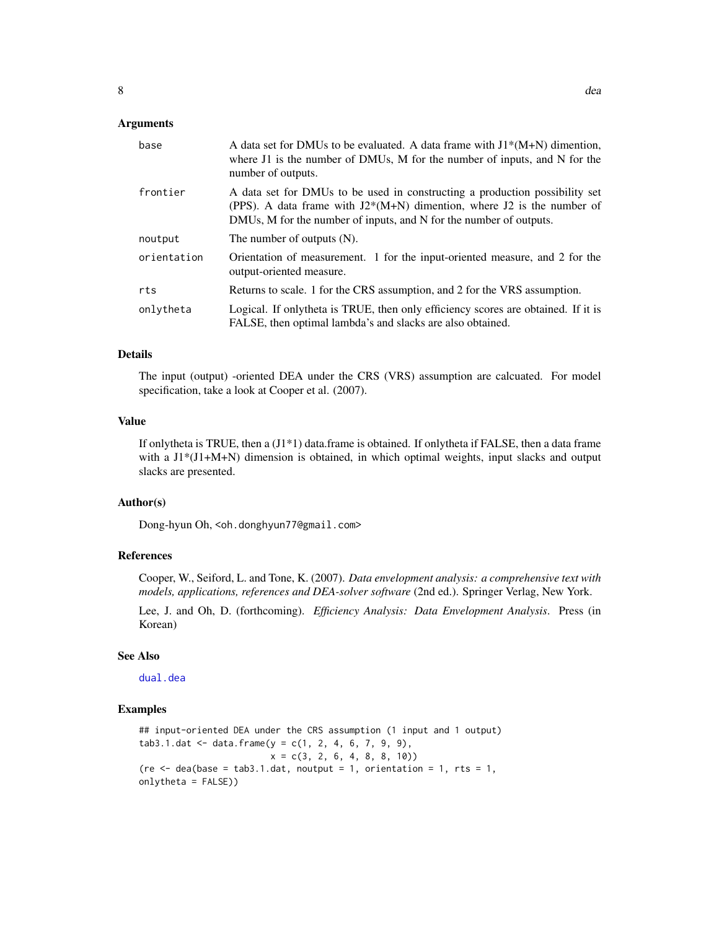<span id="page-7-0"></span>

| base        | A data set for DMUs to be evaluated. A data frame with $J1*(M+N)$ dimention,<br>where J1 is the number of DMUs, M for the number of inputs, and N for the<br>number of outputs.                                               |
|-------------|-------------------------------------------------------------------------------------------------------------------------------------------------------------------------------------------------------------------------------|
| frontier    | A data set for DMUs to be used in constructing a production possibility set<br>(PPS). A data frame with $J2*(M+N)$ dimention, where J2 is the number of<br>DMUs, M for the number of inputs, and N for the number of outputs. |
| noutput     | The number of outputs (N).                                                                                                                                                                                                    |
| orientation | Orientation of measurement. 1 for the input-oriented measure, and 2 for the<br>output-oriented measure.                                                                                                                       |
| rts         | Returns to scale. 1 for the CRS assumption, and 2 for the VRS assumption.                                                                                                                                                     |
| onlytheta   | Logical. If only the task TRUE, then only efficiency scores are obtained. If it is<br>FALSE, then optimal lambda's and slacks are also obtained.                                                                              |

# Details

The input (output) -oriented DEA under the CRS (VRS) assumption are calcuated. For model specification, take a look at Cooper et al. (2007).

#### Value

If onlytheta is TRUE, then a (J1\*1) data.frame is obtained. If onlytheta if FALSE, then a data frame with a  $JI^*(JI+M+N)$  dimension is obtained, in which optimal weights, input slacks and output slacks are presented.

# Author(s)

Dong-hyun Oh, <oh.donghyun77@gmail.com>

# References

Cooper, W., Seiford, L. and Tone, K. (2007). *Data envelopment analysis: a comprehensive text with models, applications, references and DEA-solver software* (2nd ed.). Springer Verlag, New York.

Lee, J. and Oh, D. (forthcoming). *Efficiency Analysis: Data Envelopment Analysis*. Press (in Korean)

#### See Also

[dual.dea](#page-10-1)

# Examples

```
## input-oriented DEA under the CRS assumption (1 input and 1 output)
tab3.1.dat < - data frame(y = c(1, 2, 4, 6, 7, 9, 9),x = c(3, 2, 6, 4, 8, 8, 10)(re \leq dea(base = tab3.1.dat, noutput = 1, orientation = 1, rts = 1,
onlytheta = FALSE))
```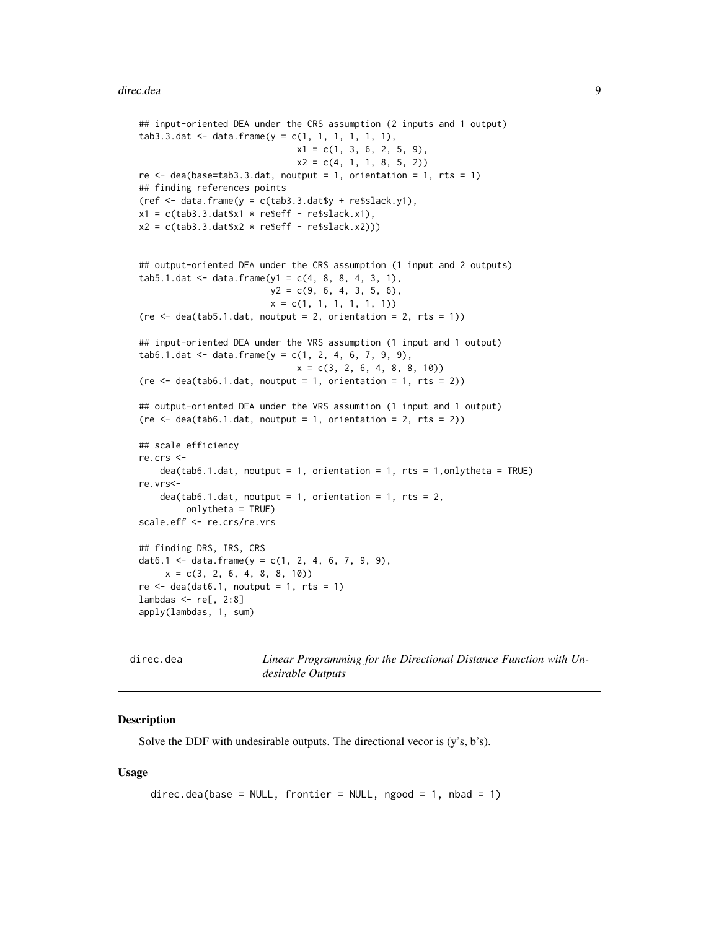#### <span id="page-8-0"></span>direc.dea 9

```
## input-oriented DEA under the CRS assumption (2 inputs and 1 output)
tab3.3.dat < - data frame(y = c(1, 1, 1, 1, 1, 1),x1 = c(1, 3, 6, 2, 5, 9),
                               x2 = c(4, 1, 1, 8, 5, 2)re \leq dea(base=tab3.3.dat, noutput = 1, orientation = 1, rts = 1)
## finding references points
(ref < - data frame(y = c(tab3.3.dat$y + re$slack.y1)),x1 = c(tab3.3.dat$x1 * re$eff - re$slack.x1),
x2 = c(tab3.3.dat$x2 * re$eff - re$slack.x2)))
## output-oriented DEA under the CRS assumption (1 input and 2 outputs)
tab5.1.dat \leftarrow data frame(y1 = c(4, 8, 8, 4, 3, 1),y2 = c(9, 6, 4, 3, 5, 6),
                         x = c(1, 1, 1, 1, 1, 1))(re \leq dea(tab5.1.dat, noutput = 2, orientation = 2, rts = 1))
## input-oriented DEA under the VRS assumption (1 input and 1 output)
tab6.1.dat < - data frame(y = c(1, 2, 4, 6, 7, 9, 9),x = c(3, 2, 6, 4, 8, 8, 10)(re \leq dea(tab6.1.dat, noutput = 1, orientation = 1, rts = 2))
## output-oriented DEA under the VRS assumtion (1 input and 1 output)
(re \leq dea(tab6.1.dat, noutput = 1, orientation = 2, rts = 2))
## scale efficiency
re.crs <-
    dea(tab6.1.dat, noutput = 1, orientation = 1, rts = 1, only the <math>z = 1</math>re.vrs<-
    dea(tab6.1.dat, noutput = 1, orientation = 1, rts = 2,onlytheta = TRUE)
scale.eff <- re.crs/re.vrs
## finding DRS, IRS, CRS
dat6.1 <- data.frame(y = c(1, 2, 4, 6, 7, 9, 9),
     x = c(3, 2, 6, 4, 8, 8, 10)re \leq - \text{dea}(data6.1, noutput = 1, rts = 1)lambdas <- re[, 2:8]
apply(lambdas, 1, sum)
```
<span id="page-8-1"></span>direc.dea *Linear Programming for the Directional Distance Function with Undesirable Outputs*

#### Description

Solve the DDF with undesirable outputs. The directional vecor is (y's, b's).

```
direc.dea(base = NULL, frontier = NULL, ngood = 1, nbad = 1)
```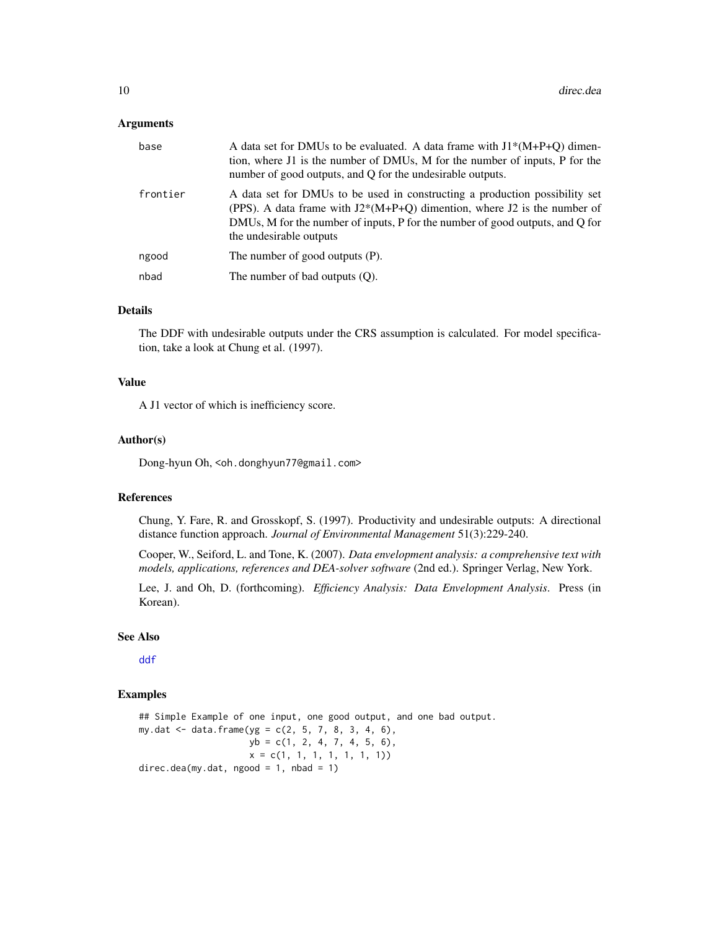<span id="page-9-0"></span>

| base     | A data set for DMUs to be evaluated. A data frame with $J1*(M+P+Q)$ dimen-<br>tion, where J1 is the number of DMUs, M for the number of inputs, P for the<br>number of good outputs, and Q for the undesirable outputs.                                               |
|----------|-----------------------------------------------------------------------------------------------------------------------------------------------------------------------------------------------------------------------------------------------------------------------|
| frontier | A data set for DMUs to be used in constructing a production possibility set<br>(PPS). A data frame with $J2*(M+P+Q)$ dimention, where J2 is the number of<br>DMUs, M for the number of inputs, P for the number of good outputs, and O for<br>the undesirable outputs |
| ngood    | The number of good outputs (P).                                                                                                                                                                                                                                       |
| nbad     | The number of bad outputs $(Q)$ .                                                                                                                                                                                                                                     |

#### Details

The DDF with undesirable outputs under the CRS assumption is calculated. For model specification, take a look at Chung et al. (1997).

### Value

A J1 vector of which is inefficiency score.

#### Author(s)

Dong-hyun Oh, <oh.donghyun77@gmail.com>

#### References

Chung, Y. Fare, R. and Grosskopf, S. (1997). Productivity and undesirable outputs: A directional distance function approach. *Journal of Environmental Management* 51(3):229-240.

Cooper, W., Seiford, L. and Tone, K. (2007). *Data envelopment analysis: a comprehensive text with models, applications, references and DEA-solver software* (2nd ed.). Springer Verlag, New York.

Lee, J. and Oh, D. (forthcoming). *Efficiency Analysis: Data Envelopment Analysis*. Press (in Korean).

#### See Also

[ddf](#page-5-1)

#### Examples

## Simple Example of one input, one good output, and one bad output. my.dat <- data.frame(yg = c(2, 5, 7, 8, 3, 4, 6),  $yb = c(1, 2, 4, 7, 4, 5, 6),$  $x = c(1, 1, 1, 1, 1, 1, 1))$ direc.dea(my.dat, ngood = 1, nbad = 1)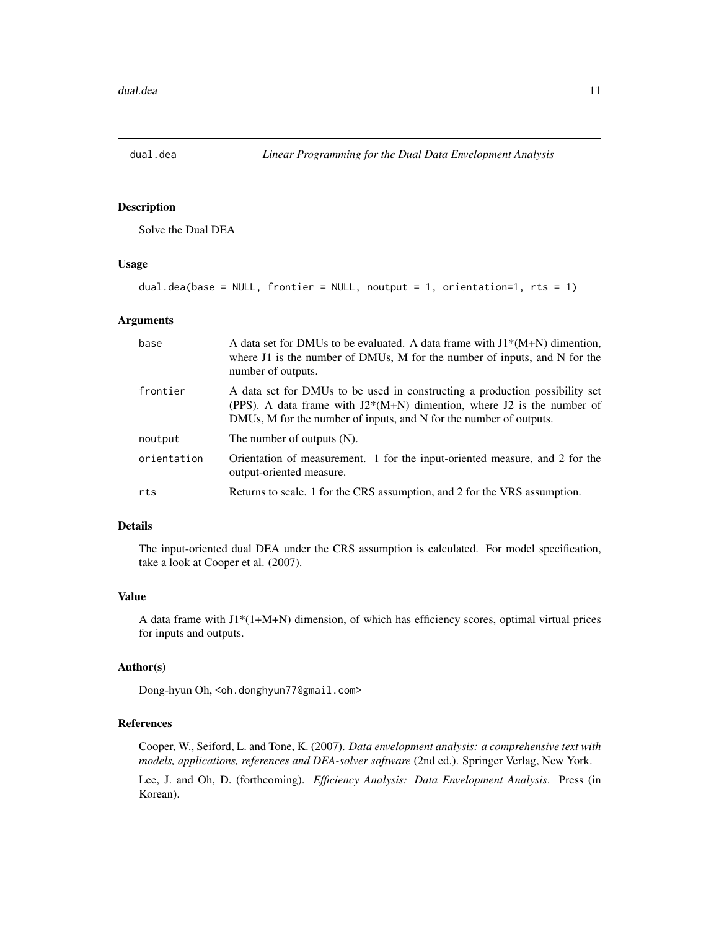<span id="page-10-1"></span><span id="page-10-0"></span>

# Description

Solve the Dual DEA

# Usage

```
dual.dea(base = NULL, frontier = NULL, noutput = 1, orientation=1, rts = 1)
```
#### Arguments

| base        | A data set for DMUs to be evaluated. A data frame with $J1*(M+N)$ dimention,<br>where $J1$ is the number of DMUs, M for the number of inputs, and N for the<br>number of outputs.                                             |
|-------------|-------------------------------------------------------------------------------------------------------------------------------------------------------------------------------------------------------------------------------|
| frontier    | A data set for DMUs to be used in constructing a production possibility set<br>(PPS). A data frame with $J2*(M+N)$ dimention, where J2 is the number of<br>DMUs, M for the number of inputs, and N for the number of outputs. |
| noutput     | The number of outputs $(N)$ .                                                                                                                                                                                                 |
| orientation | Orientation of measurement. 1 for the input-oriented measure, and 2 for the<br>output-oriented measure.                                                                                                                       |
| rts         | Returns to scale. 1 for the CRS assumption, and 2 for the VRS assumption.                                                                                                                                                     |

# Details

The input-oriented dual DEA under the CRS assumption is calculated. For model specification, take a look at Cooper et al. (2007).

#### Value

A data frame with J1\*(1+M+N) dimension, of which has efficiency scores, optimal virtual prices for inputs and outputs.

#### Author(s)

Dong-hyun Oh, <oh.donghyun77@gmail.com>

# References

Cooper, W., Seiford, L. and Tone, K. (2007). *Data envelopment analysis: a comprehensive text with models, applications, references and DEA-solver software* (2nd ed.). Springer Verlag, New York.

Lee, J. and Oh, D. (forthcoming). *Efficiency Analysis: Data Envelopment Analysis*. Press (in Korean).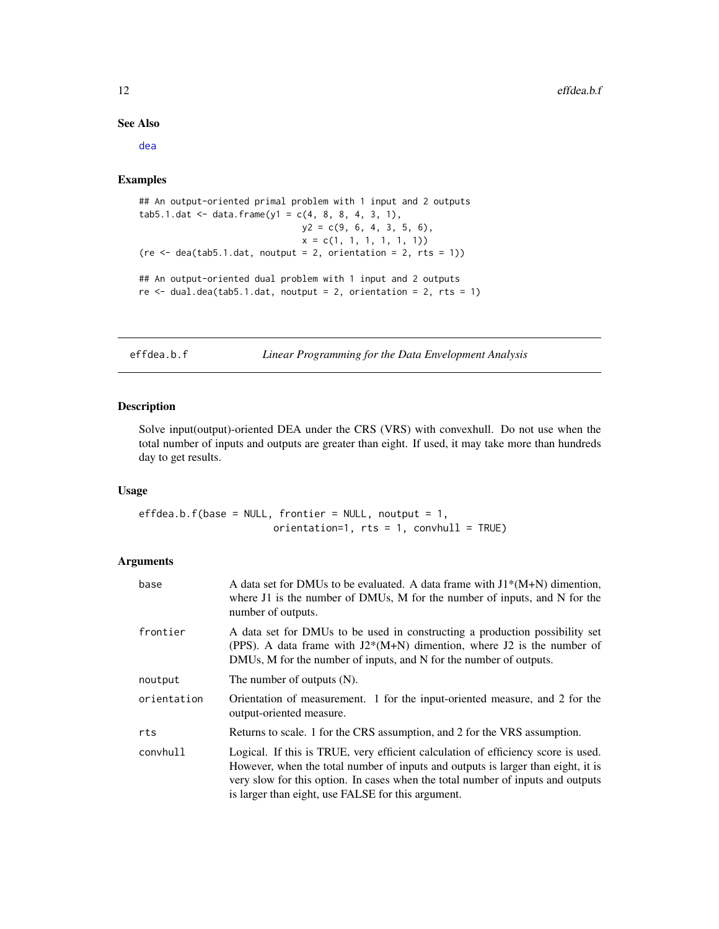#### <span id="page-11-0"></span>See Also

[dea](#page-6-1)

#### Examples

```
## An output-oriented primal problem with 1 input and 2 outputs
tab5.1.dat \leftarrow data frame(y1 = c(4, 8, 8, 4, 3, 1),y2 = c(9, 6, 4, 3, 5, 6),
                               x = c(1, 1, 1, 1, 1, 1))(re \leq dea(tab5.1.dat, noutput = 2, orientation = 2, rts = 1))
## An output-oriented dual problem with 1 input and 2 outputs
re \leq- dual.dea(tab5.1.dat, noutput = 2, orientation = 2, rts = 1)
```
effdea.b.f *Linear Programming for the Data Envelopment Analysis*

# Description

Solve input(output)-oriented DEA under the CRS (VRS) with convexhull. Do not use when the total number of inputs and outputs are greater than eight. If used, it may take more than hundreds day to get results.

#### Usage

effdea.b.f(base = NULL, frontier = NULL, noutput = 1, orientation=1,  $rts = 1$ , convhull = TRUE)

# Arguments

| base        | A data set for DMUs to be evaluated. A data frame with $J1*(M+N)$ dimention,<br>where J1 is the number of DMUs, M for the number of inputs, and N for the<br>number of outputs.                                                                                                                                |
|-------------|----------------------------------------------------------------------------------------------------------------------------------------------------------------------------------------------------------------------------------------------------------------------------------------------------------------|
| frontier    | A data set for DMUs to be used in constructing a production possibility set<br>(PPS). A data frame with $J2*(M+N)$ dimention, where J2 is the number of<br>DMUs, M for the number of inputs, and N for the number of outputs.                                                                                  |
| noutput     | The number of outputs (N).                                                                                                                                                                                                                                                                                     |
| orientation | Orientation of measurement. 1 for the input-oriented measure, and 2 for the<br>output-oriented measure.                                                                                                                                                                                                        |
| rts         | Returns to scale. 1 for the CRS assumption, and 2 for the VRS assumption.                                                                                                                                                                                                                                      |
| convhull    | Logical. If this is TRUE, very efficient calculation of efficiency score is used.<br>However, when the total number of inputs and outputs is larger than eight, it is<br>very slow for this option. In cases when the total number of inputs and outputs<br>is larger than eight, use FALSE for this argument. |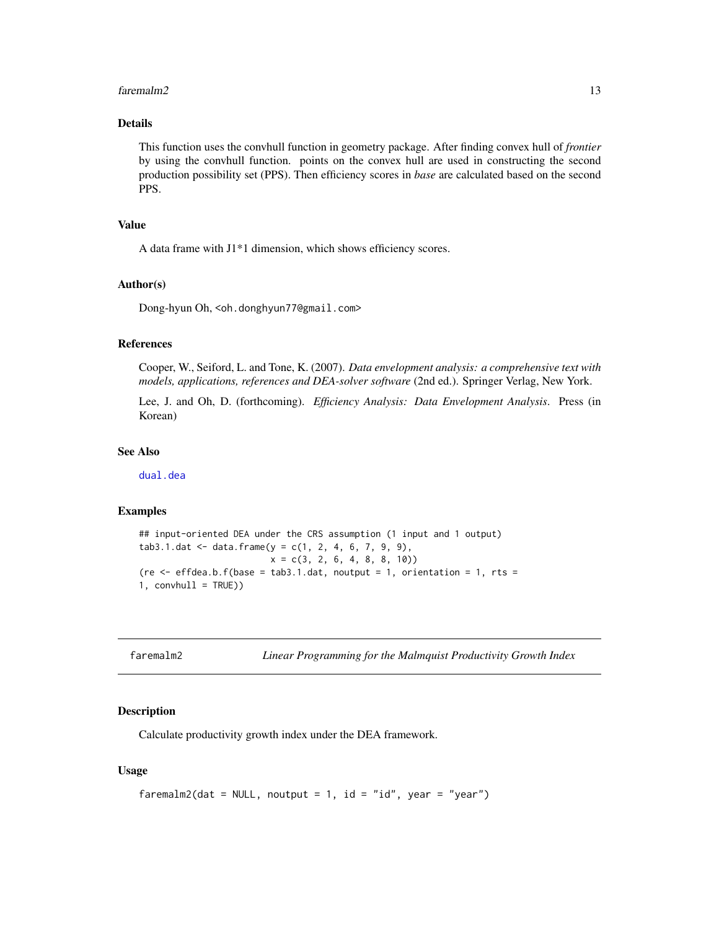#### <span id="page-12-0"></span> $fare malm2$  13

# Details

This function uses the convhull function in geometry package. After finding convex hull of *frontier* by using the convhull function. points on the convex hull are used in constructing the second production possibility set (PPS). Then efficiency scores in *base* are calculated based on the second PPS.

# Value

A data frame with J1\*1 dimension, which shows efficiency scores.

#### Author(s)

Dong-hyun Oh, <oh.donghyun77@gmail.com>

#### References

Cooper, W., Seiford, L. and Tone, K. (2007). *Data envelopment analysis: a comprehensive text with models, applications, references and DEA-solver software* (2nd ed.). Springer Verlag, New York.

Lee, J. and Oh, D. (forthcoming). *Efficiency Analysis: Data Envelopment Analysis*. Press (in Korean)

#### See Also

[dual.dea](#page-10-1)

#### Examples

```
## input-oriented DEA under the CRS assumption (1 input and 1 output)
tab3.1.dat < - data frame(y = c(1, 2, 4, 6, 7, 9, 9),x = c(3, 2, 6, 4, 8, 8, 10)(re \leq effdea.b.f(base = tab3.1.dat, noutput = 1, orientation = 1, rts =
1, convhull = TRUE))
```

|  | faremalm2 |
|--|-----------|
|  |           |

Linear Programming for the Malmquist Productivity Growth Index

#### Description

Calculate productivity growth index under the DEA framework.

```
faremalm2(dat = NULL, noutput = 1, id = "id", year = "year")
```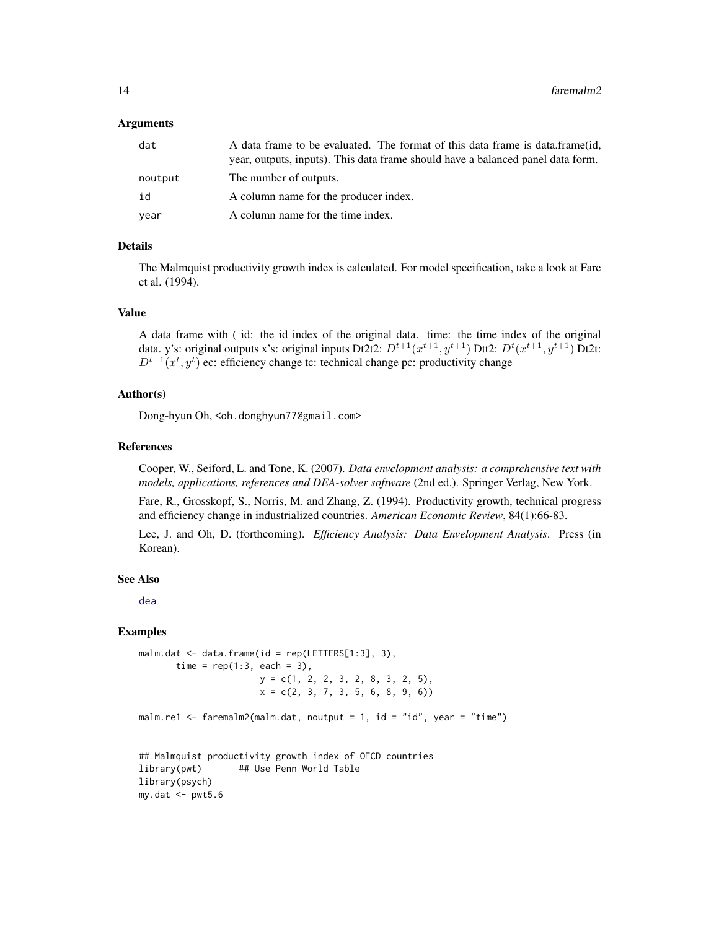<span id="page-13-0"></span>

| dat     | A data frame to be evaluated. The format of this data frame is data.frame(id,<br>year, outputs, inputs). This data frame should have a balanced panel data form. |
|---------|------------------------------------------------------------------------------------------------------------------------------------------------------------------|
| noutput | The number of outputs.                                                                                                                                           |
| id      | A column name for the producer index.                                                                                                                            |
| year    | A column name for the time index.                                                                                                                                |

## Details

The Malmquist productivity growth index is calculated. For model specification, take a look at Fare et al. (1994).

#### Value

A data frame with ( id: the id index of the original data. time: the time index of the original data. y's: original outputs x's: original inputs Dt2t2:  $D^{t+1}(x^{t+1}, y^{t+1})$  Dtt2:  $D^{t}(x^{t+1}, y^{t+1})$  Dt2t:  $D^{t+1}(x^t, y^t)$  ec: efficiency change tc: technical change pc: productivity change

#### Author(s)

Dong-hyun Oh, <oh.donghyun77@gmail.com>

### References

Cooper, W., Seiford, L. and Tone, K. (2007). *Data envelopment analysis: a comprehensive text with models, applications, references and DEA-solver software* (2nd ed.). Springer Verlag, New York.

Fare, R., Grosskopf, S., Norris, M. and Zhang, Z. (1994). Productivity growth, technical progress and efficiency change in industrialized countries. *American Economic Review*, 84(1):66-83.

Lee, J. and Oh, D. (forthcoming). *Efficiency Analysis: Data Envelopment Analysis*. Press (in Korean).

# See Also

[dea](#page-6-1)

# **Examples**

```
malm.dat \leq data.frame(id = rep(LETTERS[1:3], 3),
      time = rep(1:3, each = 3),
                      y = c(1, 2, 2, 3, 2, 8, 3, 2, 5),
                      x = c(2, 3, 7, 3, 5, 6, 8, 9, 6)malm.re1 <- faremalm2(malm.dat, noutput = 1, id = "id", year = "time")
## Malmquist productivity growth index of OECD countries
library(pwt) ## Use Penn World Table
library(psych)
my.dat \leq pwt5.6
```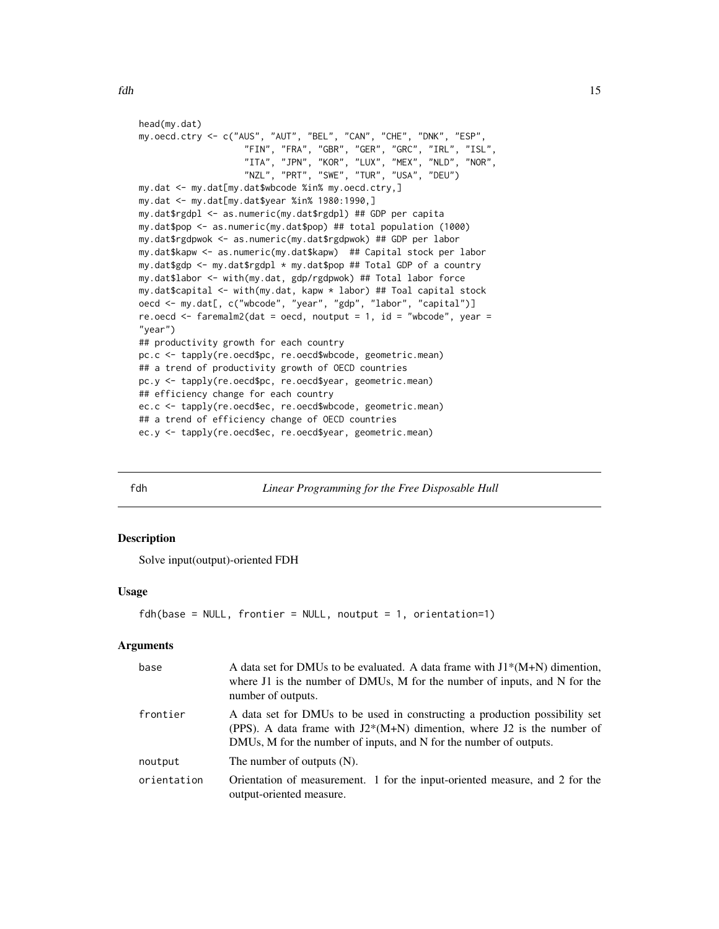```
head(my.dat)
my.oecd.ctry <- c("AUS", "AUT", "BEL", "CAN", "CHE", "DNK", "ESP",
                    "FIN", "FRA", "GBR", "GER", "GRC", "IRL", "ISL",
                    "ITA", "JPN", "KOR", "LUX", "MEX", "NLD", "NOR",
                    "NZL", "PRT", "SWE", "TUR", "USA", "DEU")
my.dat <- my.dat[my.dat$wbcode %in% my.oecd.ctry,]
my.dat <- my.dat[my.dat$year %in% 1980:1990,]
my.dat$rgdpl <- as.numeric(my.dat$rgdpl) ## GDP per capita
my.dat$pop <- as.numeric(my.dat$pop) ## total population (1000)
my.dat$rgdpwok <- as.numeric(my.dat$rgdpwok) ## GDP per labor
my.dat$kapw <- as.numeric(my.dat$kapw) ## Capital stock per labor
my.dat$gdp <- my.dat$rgdpl * my.dat$pop ## Total GDP of a country
my.dat$labor <- with(my.dat, gdp/rgdpwok) ## Total labor force
my.dat$capital <- with(my.dat, kapw * labor) ## Toal capital stock
oecd <- my.dat[, c("wbcode", "year", "gdp", "labor", "capital")]
re.oecd \le faremalm2(dat = oecd, noutput = 1, id = "wbcode", year =
"year")
## productivity growth for each country
pc.c <- tapply(re.oecd$pc, re.oecd$wbcode, geometric.mean)
## a trend of productivity growth of OECD countries
pc.y <- tapply(re.oecd$pc, re.oecd$year, geometric.mean)
## efficiency change for each country
ec.c <- tapply(re.oecd$ec, re.oecd$wbcode, geometric.mean)
## a trend of efficiency change of OECD countries
ec.y <- tapply(re.oecd$ec, re.oecd$year, geometric.mean)
```
<span id="page-14-1"></span>fdh *Linear Programming for the Free Disposable Hull*

#### **Description**

Solve input(output)-oriented FDH

#### Usage

```
fdh(base = NULL, frontier = NULL, noutput = 1, orientation=1)
```
#### Arguments

| base        | A data set for DMUs to be evaluated. A data frame with $J1*(M+N)$ dimention,<br>where $J1$ is the number of DMUs, M for the number of inputs, and N for the<br>number of outputs.                                             |
|-------------|-------------------------------------------------------------------------------------------------------------------------------------------------------------------------------------------------------------------------------|
| frontier    | A data set for DMUs to be used in constructing a production possibility set<br>(PPS). A data frame with $J2*(M+N)$ dimention, where J2 is the number of<br>DMUs, M for the number of inputs, and N for the number of outputs. |
| noutput     | The number of outputs (N).                                                                                                                                                                                                    |
| orientation | Orientation of measurement. 1 for the input-oriented measure, and 2 for the<br>output-oriented measure.                                                                                                                       |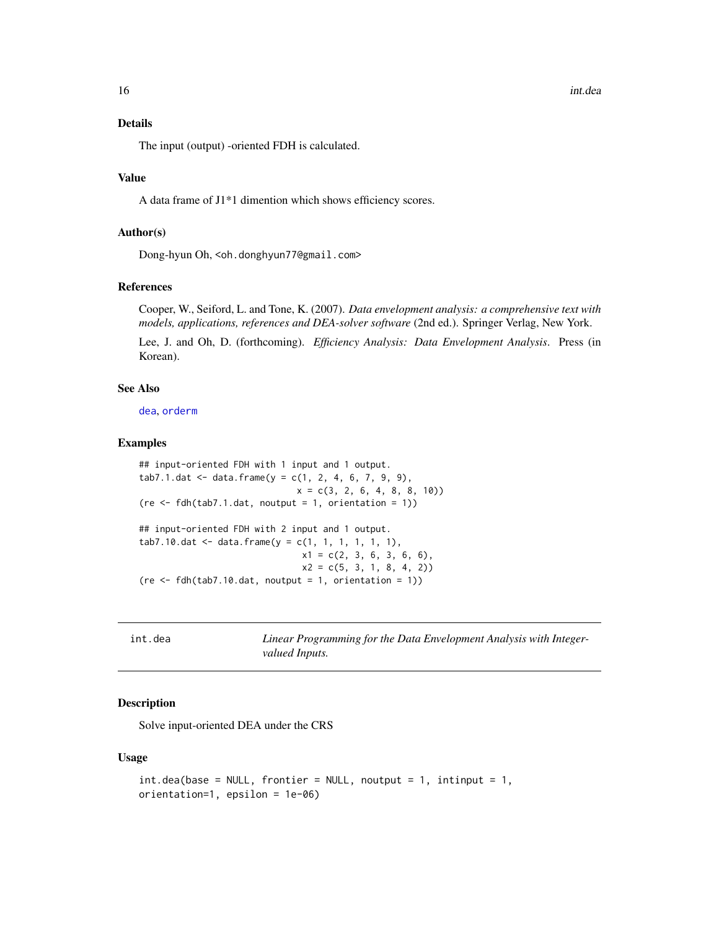#### <span id="page-15-0"></span>Details

The input (output) -oriented FDH is calculated.

#### Value

A data frame of J1\*1 dimention which shows efficiency scores.

#### Author(s)

Dong-hyun Oh, <oh.donghyun77@gmail.com>

#### References

Cooper, W., Seiford, L. and Tone, K. (2007). *Data envelopment analysis: a comprehensive text with models, applications, references and DEA-solver software* (2nd ed.). Springer Verlag, New York.

Lee, J. and Oh, D. (forthcoming). *Efficiency Analysis: Data Envelopment Analysis*. Press (in Korean).

# See Also

[dea](#page-6-1), [orderm](#page-18-1)

#### Examples

```
## input-oriented FDH with 1 input and 1 output.
tab7.1.dat < - data frame(y = c(1, 2, 4, 6, 7, 9, 9),x = c(3, 2, 6, 4, 8, 8, 10)(re <-fdh(tab7.1.dat, noutput = 1, orientation = 1))## input-oriented FDH with 2 input and 1 output.
tab7.10. dat <- data.frame(y = c(1, 1, 1, 1, 1, 1),
                              x1 = c(2, 3, 6, 3, 6, 6),
                              x2 = c(5, 3, 1, 8, 4, 2)(re \leq fdh(tab7.10.dat, noutput = 1, orientation = 1))
```
int.dea *Linear Programming for the Data Envelopment Analysis with Integervalued Inputs.*

## Description

Solve input-oriented DEA under the CRS

```
int.dea(base = NULL, frontier = NULL, noutput = 1, intinput = 1,
orientation=1, epsilon = 1e-06)
```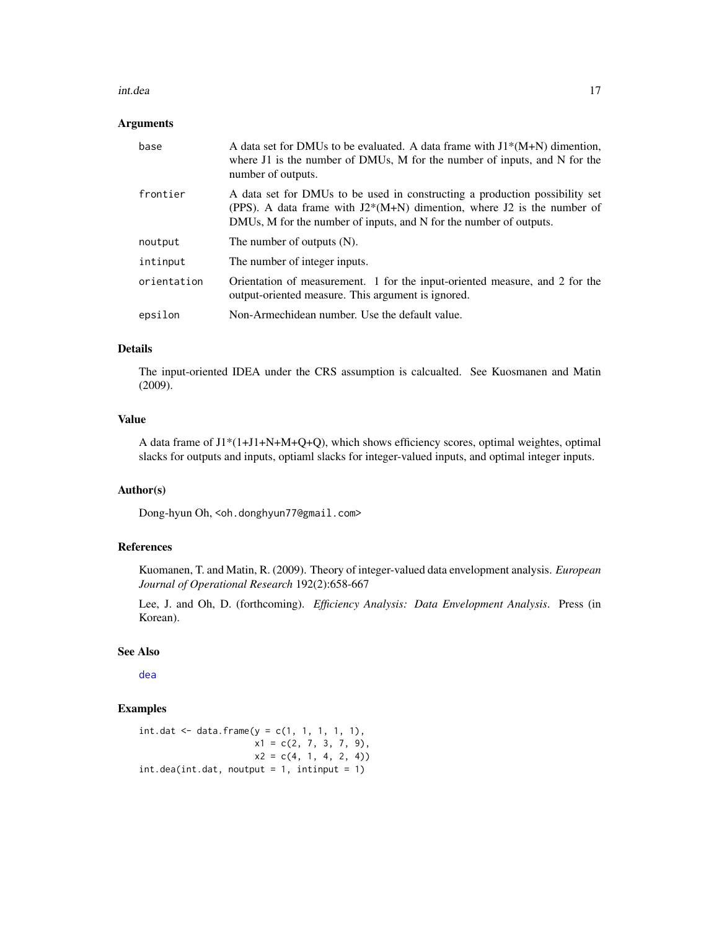#### <span id="page-16-0"></span>int.dea that is a state of the state of the state of the state of the state of the state of the state of the state of the state of the state of the state of the state of the state of the state of the state of the state of

#### Arguments

| base        | A data set for DMUs to be evaluated. A data frame with $J1*(M+N)$ dimention,<br>where $J1$ is the number of DMUs, M for the number of inputs, and N for the<br>number of outputs.                                             |
|-------------|-------------------------------------------------------------------------------------------------------------------------------------------------------------------------------------------------------------------------------|
| frontier    | A data set for DMUs to be used in constructing a production possibility set<br>(PPS). A data frame with $J2*(M+N)$ dimention, where J2 is the number of<br>DMUs, M for the number of inputs, and N for the number of outputs. |
| noutput     | The number of outputs (N).                                                                                                                                                                                                    |
| intinput    | The number of integer inputs.                                                                                                                                                                                                 |
| orientation | Orientation of measurement. 1 for the input-oriented measure, and 2 for the<br>output-oriented measure. This argument is ignored.                                                                                             |
| epsilon     | Non-Armechidean number. Use the default value.                                                                                                                                                                                |

#### Details

The input-oriented IDEA under the CRS assumption is calcualted. See Kuosmanen and Matin (2009).

# Value

A data frame of  $J1*(1+J1+N+M+Q+Q)$ , which shows efficiency scores, optimal weightes, optimal slacks for outputs and inputs, optiaml slacks for integer-valued inputs, and optimal integer inputs.

# Author(s)

Dong-hyun Oh, <oh.donghyun77@gmail.com>

# References

Kuomanen, T. and Matin, R. (2009). Theory of integer-valued data envelopment analysis. *European Journal of Operational Research* 192(2):658-667

Lee, J. and Oh, D. (forthcoming). *Efficiency Analysis: Data Envelopment Analysis*. Press (in Korean).

# See Also

[dea](#page-6-1)

#### Examples

```
int.dat <- data.frame(y = c(1, 1, 1, 1, 1),
                    x1 = c(2, 7, 3, 7, 9),
                     x2 = c(4, 1, 4, 2, 4)int.dea(int.dat, noutput = 1, intinput = 1)
```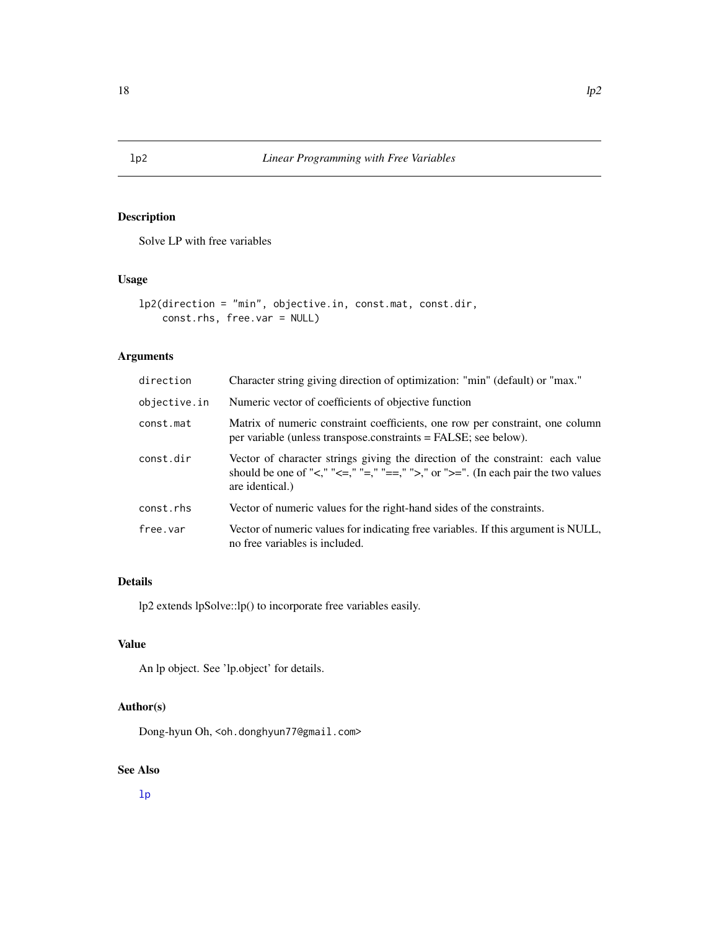# Description

Solve LP with free variables

# Usage

```
lp2(direction = "min", objective.in, const.mat, const.dir,
    const.rhs, free.var = NULL)
```
# Arguments

| direction    | Character string giving direction of optimization: "min" (default) or "max."                                                                                                     |
|--------------|----------------------------------------------------------------------------------------------------------------------------------------------------------------------------------|
| objective.in | Numeric vector of coefficients of objective function                                                                                                                             |
| const.mat    | Matrix of numeric constraint coefficients, one row per constraint, one column<br>per variable (unless transpose.constraints = FALSE; see below).                                 |
| const.dir    | Vector of character strings giving the direction of the constraint: each value<br>should be one of "<," "<=," "=," ">," or ">=". (In each pair the two values<br>are identical.) |
| const.rhs    | Vector of numeric values for the right-hand sides of the constraints.                                                                                                            |
| free.var     | Vector of numeric values for indicating free variables. If this argument is NULL,<br>no free variables is included.                                                              |

# Details

lp2 extends lpSolve::lp() to incorporate free variables easily.

# Value

An lp object. See 'lp.object' for details.

# Author(s)

Dong-hyun Oh, <oh.donghyun77@gmail.com>

# See Also

[lp](#page-0-0)

<span id="page-17-0"></span>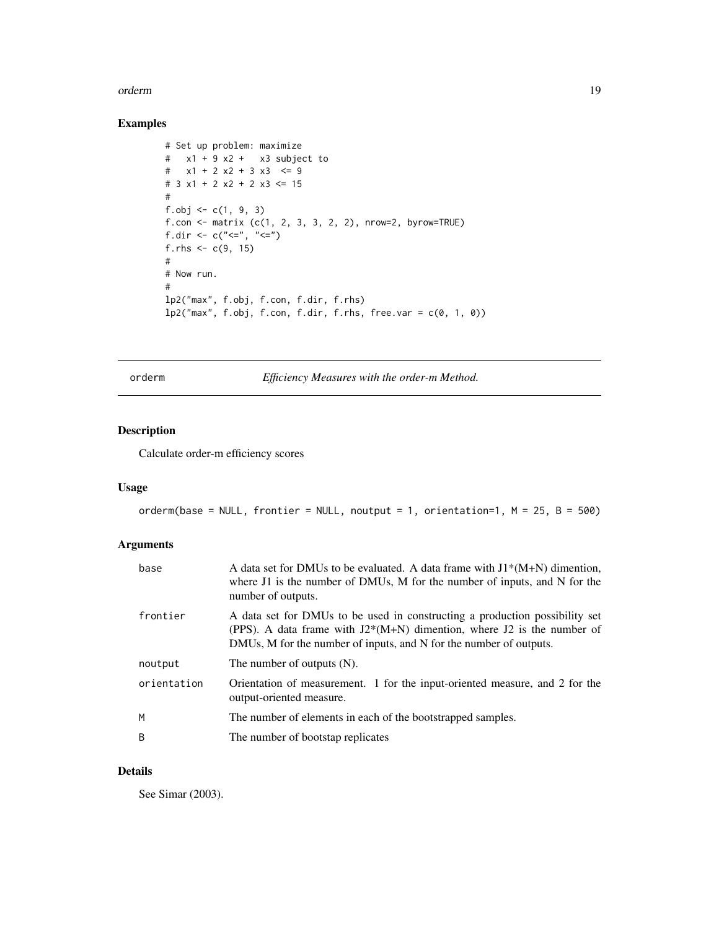#### <span id="page-18-0"></span>orderm and the contract of the contract of the contract of the contract of the contract of the contract of the contract of the contract of the contract of the contract of the contract of the contract of the contract of the

# Examples

```
# Set up problem: maximize
# x1 + 9 x2 + x3 subject to
# x1 + 2 x2 + 3 x3 \le 9# 3 x1 + 2 x2 + 2 x3 <= 15
#
f.obj \leq c(1, 9, 3)f.con <- matrix (c(1, 2, 3, 3, 2, 2), nrow=2, byrow=TRUE)
f.dir <- c("<=", "<=")
f.rhs <- c(9, 15)
#
# Now run.
#
lp2("max", f.obj, f.con, f.dir, f.rhs)
lp2("max", f.obj, f.con, f.dir, f.rhs, free.var = c(0, 1, 0))
```
orderm *Efficiency Measures with the order-m Method.*

# Description

Calculate order-m efficiency scores

#### Usage

```
orderm(base = NULL, frontier = NULL, noutput = 1, orientation=1, M = 25, B = 500)
```
# Arguments

| base         | A data set for DMUs to be evaluated. A data frame with $J1*(M+N)$ dimention,<br>where $J1$ is the number of DMUs, M for the number of inputs, and N for the<br>number of outputs.                                             |
|--------------|-------------------------------------------------------------------------------------------------------------------------------------------------------------------------------------------------------------------------------|
| frontier     | A data set for DMUs to be used in constructing a production possibility set<br>(PPS). A data frame with $J2*(M+N)$ dimention, where J2 is the number of<br>DMUs, M for the number of inputs, and N for the number of outputs. |
| noutput      | The number of outputs (N).                                                                                                                                                                                                    |
| orientation  | Orientation of measurement. 1 for the input-oriented measure, and 2 for the<br>output-oriented measure.                                                                                                                       |
| M            | The number of elements in each of the bootstrapped samples.                                                                                                                                                                   |
| <sub>B</sub> | The number of bootstap replicates                                                                                                                                                                                             |

# Details

See Simar (2003).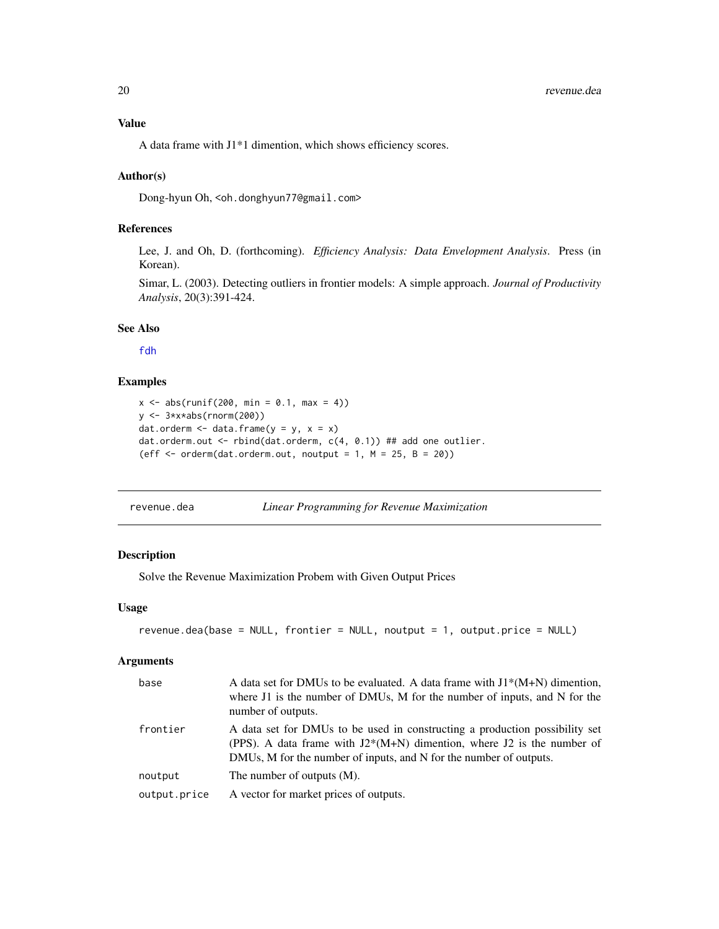# <span id="page-19-0"></span>Value

A data frame with J1\*1 dimention, which shows efficiency scores.

#### Author(s)

Dong-hyun Oh, <oh.donghyun77@gmail.com>

# References

Lee, J. and Oh, D. (forthcoming). *Efficiency Analysis: Data Envelopment Analysis*. Press (in Korean).

Simar, L. (2003). Detecting outliers in frontier models: A simple approach. *Journal of Productivity Analysis*, 20(3):391-424.

#### See Also

[fdh](#page-14-1)

# Examples

```
x \le - abs(runif(200, min = 0.1, max = 4))
y <- 3*x*abs(rnorm(200))
dat.orderm \leq data.frame(y = y, x = x)
dat.orderm.out <- rbind(dat.orderm, c(4, 0.1)) ## add one outlier.
(eff \leq orderm(dat.orderm.out, noutput = 1, M = 25, B = 20))
```
<span id="page-19-1"></span>revenue.dea *Linear Programming for Revenue Maximization*

# Description

Solve the Revenue Maximization Probem with Given Output Prices

#### Usage

```
revenue.dea(base = NULL, frontier = NULL, noutput = 1, output price = NULL)
```
#### Arguments

| base         | A data set for DMUs to be evaluated. A data frame with $J1*(M+N)$ dimention,<br>where $J1$ is the number of DMUs, M for the number of inputs, and N for the<br>number of outputs.                                             |
|--------------|-------------------------------------------------------------------------------------------------------------------------------------------------------------------------------------------------------------------------------|
| frontier     | A data set for DMUs to be used in constructing a production possibility set<br>(PPS). A data frame with $J2*(M+N)$ dimention, where J2 is the number of<br>DMUs, M for the number of inputs, and N for the number of outputs. |
| noutput      | The number of outputs $(M)$ .                                                                                                                                                                                                 |
| output.price | A vector for market prices of outputs.                                                                                                                                                                                        |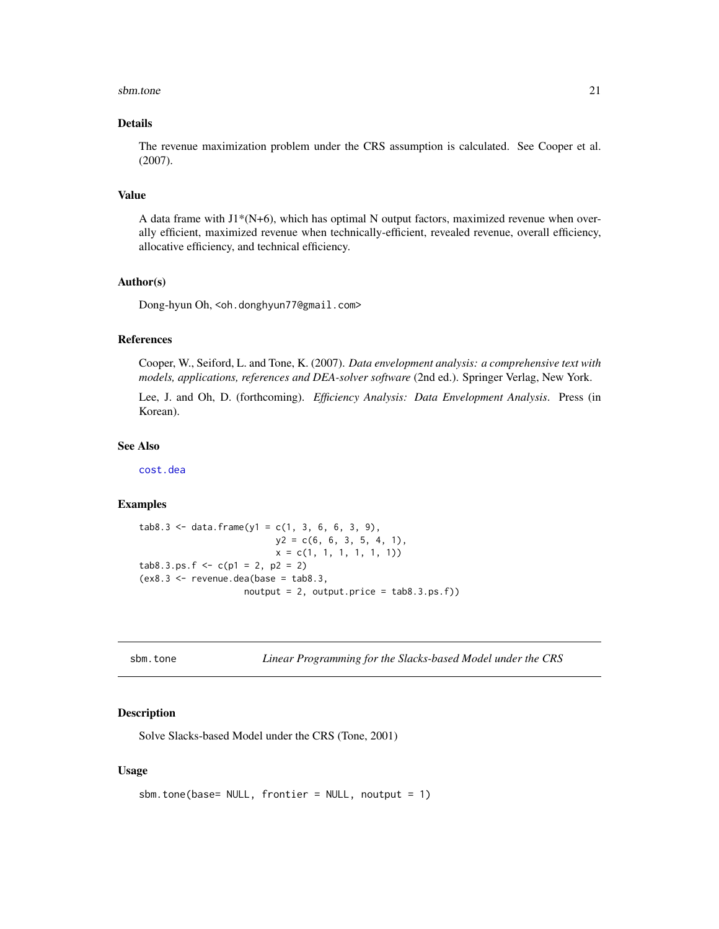#### <span id="page-20-0"></span>sbm.tone 21

# Details

The revenue maximization problem under the CRS assumption is calculated. See Cooper et al. (2007).

### Value

A data frame with  $J1*(N+6)$ , which has optimal N output factors, maximized revenue when overally efficient, maximized revenue when technically-efficient, revealed revenue, overall efficiency, allocative efficiency, and technical efficiency.

#### Author(s)

Dong-hyun Oh, <oh.donghyun77@gmail.com>

#### References

Cooper, W., Seiford, L. and Tone, K. (2007). *Data envelopment analysis: a comprehensive text with models, applications, references and DEA-solver software* (2nd ed.). Springer Verlag, New York.

Lee, J. and Oh, D. (forthcoming). *Efficiency Analysis: Data Envelopment Analysis*. Press (in Korean).

#### See Also

[cost.dea](#page-4-1)

#### Examples

```
tab8.3 \leftarrow data frame(y1 = c(1, 3, 6, 6, 3, 9),y2 = c(6, 6, 3, 5, 4, 1),x = c(1, 1, 1, 1, 1, 1))tab8.3.p.s.f < -c(p1 = 2, p2 = 2)(ex8.3 \leq revenue.dea(base = tab8.3,
                     noutput = 2, output.price = tab8.3.ps.f)
```
<span id="page-20-1"></span>sbm.tone *Linear Programming for the Slacks-based Model under the CRS*

#### Description

Solve Slacks-based Model under the CRS (Tone, 2001)

```
sbm.tone(base= NULL, frontier = NULL, noutput = 1)
```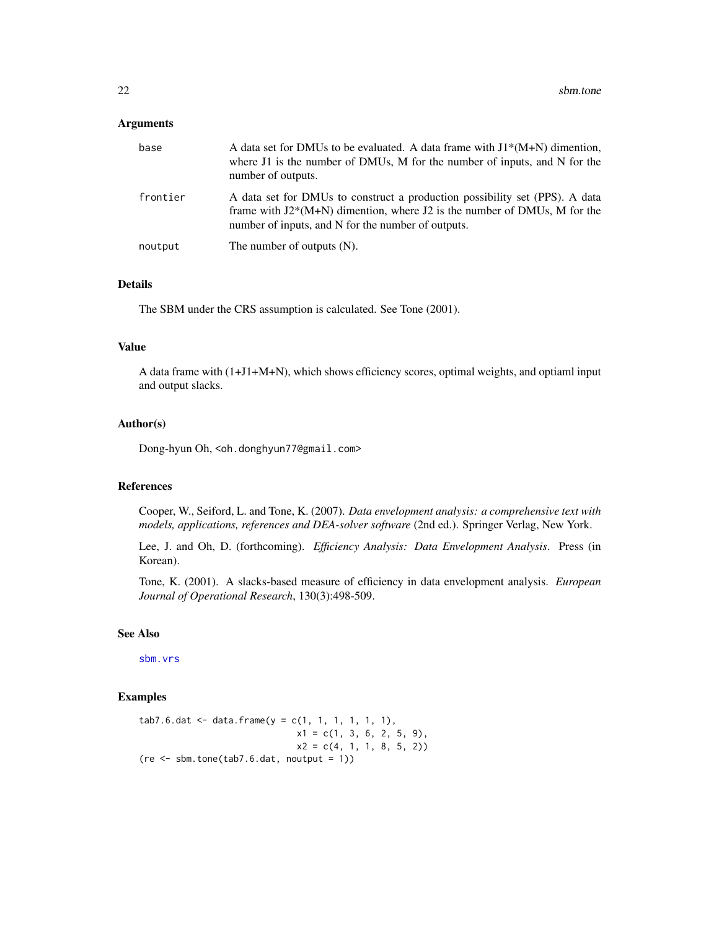<span id="page-21-0"></span>

| base     | A data set for DMUs to be evaluated. A data frame with $J1*(M+N)$ dimention,<br>where $J1$ is the number of DMUs, M for the number of inputs, and N for the<br>number of outputs.                               |
|----------|-----------------------------------------------------------------------------------------------------------------------------------------------------------------------------------------------------------------|
| frontier | A data set for DMUs to construct a production possibility set (PPS). A data<br>frame with $J2*(M+N)$ dimention, where J2 is the number of DMUs, M for the<br>number of inputs, and N for the number of outputs. |
| noutput  | The number of outputs $(N)$ .                                                                                                                                                                                   |

# Details

The SBM under the CRS assumption is calculated. See Tone (2001).

#### Value

A data frame with (1+J1+M+N), which shows efficiency scores, optimal weights, and optiaml input and output slacks.

#### Author(s)

Dong-hyun Oh, <oh.donghyun77@gmail.com>

#### References

Cooper, W., Seiford, L. and Tone, K. (2007). *Data envelopment analysis: a comprehensive text with models, applications, references and DEA-solver software* (2nd ed.). Springer Verlag, New York.

Lee, J. and Oh, D. (forthcoming). *Efficiency Analysis: Data Envelopment Analysis*. Press (in Korean).

Tone, K. (2001). A slacks-based measure of efficiency in data envelopment analysis. *European Journal of Operational Research*, 130(3):498-509.

#### See Also

[sbm.vrs](#page-22-1)

# Examples

```
tab7.6.dat <- data.frame(y = c(1, 1, 1, 1, 1, 1),
                              x1 = c(1, 3, 6, 2, 5, 9),
                               x2 = c(4, 1, 1, 8, 5, 2)(re \leftarrow sbm.tone(tab7.6.dat, noutput = 1))
```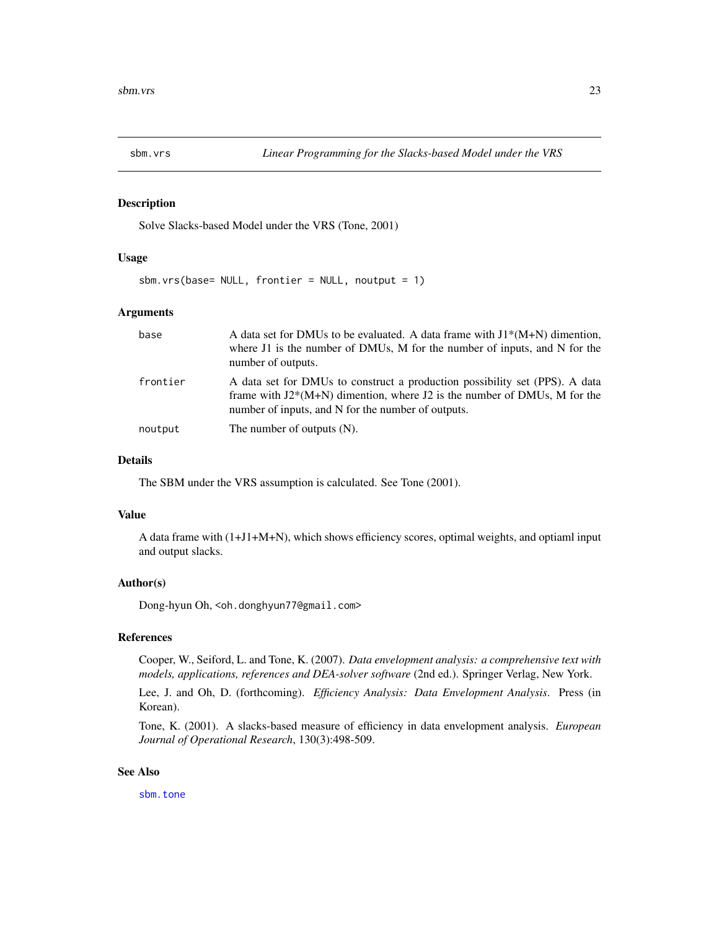<span id="page-22-1"></span><span id="page-22-0"></span>

#### Description

Solve Slacks-based Model under the VRS (Tone, 2001)

# Usage

```
sbm.vrs(base= NULL, frontier = NULL, noutput = 1)
```
#### Arguments

| base     | A data set for DMUs to be evaluated. A data frame with $J1*(M+N)$ dimention,<br>where $J1$ is the number of DMUs, M for the number of inputs, and N for the<br>number of outputs.                                 |
|----------|-------------------------------------------------------------------------------------------------------------------------------------------------------------------------------------------------------------------|
| frontier | A data set for DMUs to construct a production possibility set (PPS). A data<br>frame with $J2*(M+N)$ dimention, where $J2$ is the number of DMUs, M for the<br>number of inputs, and N for the number of outputs. |
| noutput  | The number of outputs $(N)$ .                                                                                                                                                                                     |

#### Details

The SBM under the VRS assumption is calculated. See Tone (2001).

#### Value

A data frame with (1+J1+M+N), which shows efficiency scores, optimal weights, and optiaml input and output slacks.

#### Author(s)

Dong-hyun Oh, <oh.donghyun77@gmail.com>

#### References

Cooper, W., Seiford, L. and Tone, K. (2007). *Data envelopment analysis: a comprehensive text with models, applications, references and DEA-solver software* (2nd ed.). Springer Verlag, New York.

Lee, J. and Oh, D. (forthcoming). *Efficiency Analysis: Data Envelopment Analysis*. Press (in Korean).

Tone, K. (2001). A slacks-based measure of efficiency in data envelopment analysis. *European Journal of Operational Research*, 130(3):498-509.

# See Also

[sbm.tone](#page-20-1)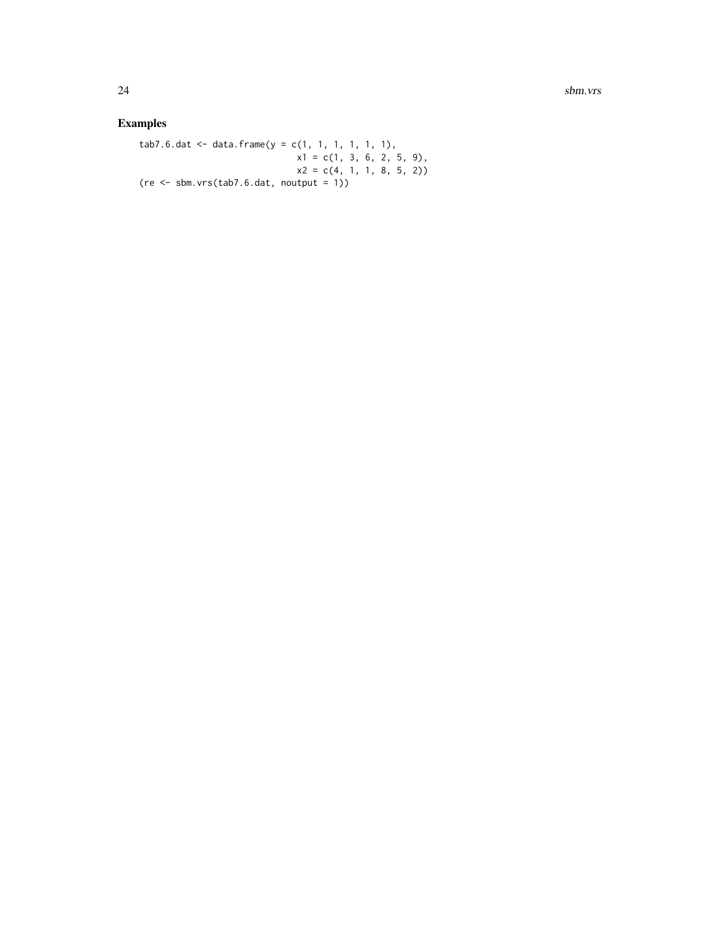# Examples

 $tab7.6. dat$  <- data.frame(y = c(1, 1, 1, 1, 1, 1),  $x1 = c(1, 3, 6, 2, 5, 9)$ ,  $x2 = c(4, 1, 1, 8, 5, 2)$ (re <- sbm.vrs(tab7.6.dat, noutput = 1))